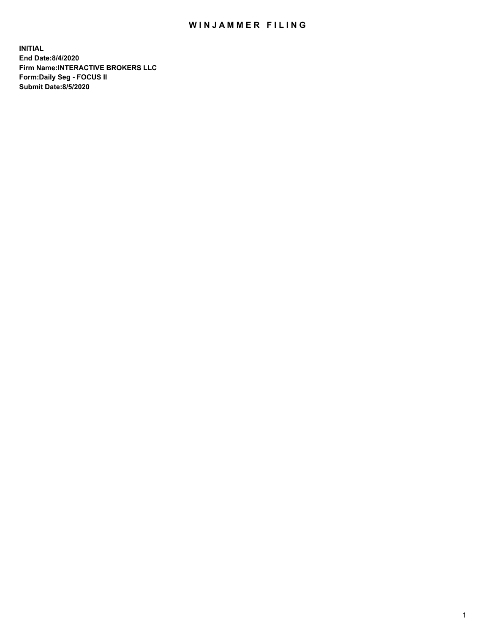## WIN JAMMER FILING

**INITIAL End Date:8/4/2020 Firm Name:INTERACTIVE BROKERS LLC Form:Daily Seg - FOCUS II Submit Date:8/5/2020**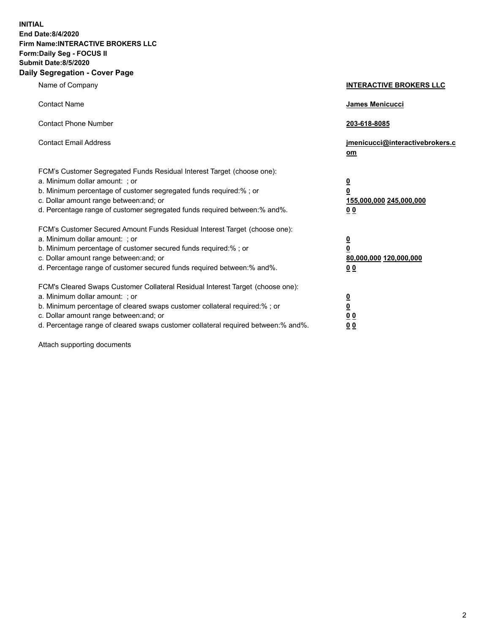**INITIAL End Date:8/4/2020 Firm Name:INTERACTIVE BROKERS LLC Form:Daily Seg - FOCUS II Submit Date:8/5/2020 Daily Segregation - Cover Page**

| Name of Company                                                                                                                                                                                                                                                                                                                | <b>INTERACTIVE BROKERS LLC</b>                                                      |
|--------------------------------------------------------------------------------------------------------------------------------------------------------------------------------------------------------------------------------------------------------------------------------------------------------------------------------|-------------------------------------------------------------------------------------|
| <b>Contact Name</b>                                                                                                                                                                                                                                                                                                            | James Menicucci                                                                     |
| <b>Contact Phone Number</b>                                                                                                                                                                                                                                                                                                    | 203-618-8085                                                                        |
| <b>Contact Email Address</b>                                                                                                                                                                                                                                                                                                   | jmenicucci@interactivebrokers.c<br>om                                               |
| FCM's Customer Segregated Funds Residual Interest Target (choose one):<br>a. Minimum dollar amount: : or<br>b. Minimum percentage of customer segregated funds required:% ; or<br>c. Dollar amount range between: and; or<br>d. Percentage range of customer segregated funds required between:% and%.                         | $\overline{\mathbf{0}}$<br>$\overline{\mathbf{0}}$<br>155,000,000 245,000,000<br>00 |
| FCM's Customer Secured Amount Funds Residual Interest Target (choose one):<br>a. Minimum dollar amount: ; or<br>b. Minimum percentage of customer secured funds required:% ; or<br>c. Dollar amount range between: and; or<br>d. Percentage range of customer secured funds required between:% and%.                           | $\frac{0}{0}$<br>80,000,000 120,000,000<br>0 <sub>0</sub>                           |
| FCM's Cleared Swaps Customer Collateral Residual Interest Target (choose one):<br>a. Minimum dollar amount: ; or<br>b. Minimum percentage of cleared swaps customer collateral required:% ; or<br>c. Dollar amount range between: and; or<br>d. Percentage range of cleared swaps customer collateral required between:% and%. | $\frac{0}{0}$<br>0 <sub>0</sub><br>0 <sub>0</sub>                                   |

Attach supporting documents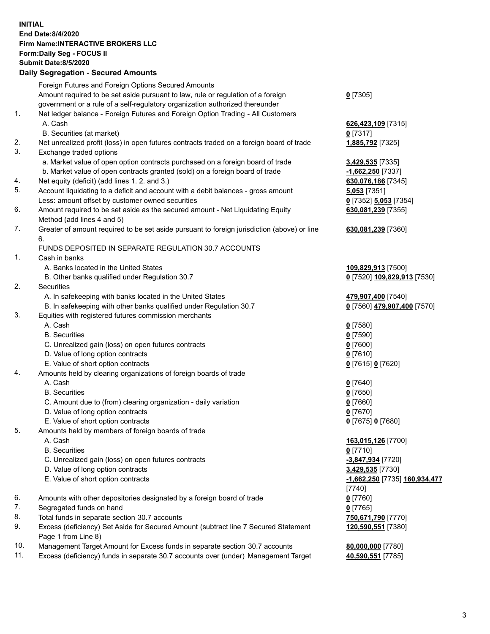## **INITIAL End Date:8/4/2020 Firm Name:INTERACTIVE BROKERS LLC Form:Daily Seg - FOCUS II Submit Date:8/5/2020 Daily Segregation - Secured Amounts**

|                | Daily Jegi egation - Jeculeu Alliounts                                                      |                               |
|----------------|---------------------------------------------------------------------------------------------|-------------------------------|
|                | Foreign Futures and Foreign Options Secured Amounts                                         |                               |
|                | Amount required to be set aside pursuant to law, rule or regulation of a foreign            | $0$ [7305]                    |
|                | government or a rule of a self-regulatory organization authorized thereunder                |                               |
| $\mathbf{1}$ . | Net ledger balance - Foreign Futures and Foreign Option Trading - All Customers             |                               |
|                | A. Cash                                                                                     | 626,423,109 [7315]            |
|                | B. Securities (at market)                                                                   | $0$ [7317]                    |
| 2.             | Net unrealized profit (loss) in open futures contracts traded on a foreign board of trade   | 1,885,792 [7325]              |
| 3.             | Exchange traded options                                                                     |                               |
|                | a. Market value of open option contracts purchased on a foreign board of trade              | 3,429,535 [7335]              |
|                | b. Market value of open contracts granted (sold) on a foreign board of trade                | $-1,662,250$ [7337]           |
| 4.             | Net equity (deficit) (add lines 1. 2. and 3.)                                               | 630,076,186 [7345]            |
| 5.             | Account liquidating to a deficit and account with a debit balances - gross amount           | $5,053$ [7351]                |
|                | Less: amount offset by customer owned securities                                            | 0 [7352] 5,053 [7354]         |
| 6.             | Amount required to be set aside as the secured amount - Net Liquidating Equity              | 630,081,239 [7355]            |
|                | Method (add lines 4 and 5)                                                                  |                               |
| 7.             | Greater of amount required to be set aside pursuant to foreign jurisdiction (above) or line | 630,081,239 [7360]            |
|                | 6.                                                                                          |                               |
|                | FUNDS DEPOSITED IN SEPARATE REGULATION 30.7 ACCOUNTS                                        |                               |
| 1.             | Cash in banks                                                                               |                               |
|                | A. Banks located in the United States                                                       | 109,829,913 [7500]            |
|                | B. Other banks qualified under Regulation 30.7                                              | 0 [7520] 109,829,913 [7530]   |
| 2.             | Securities                                                                                  |                               |
|                | A. In safekeeping with banks located in the United States                                   | 479,907,400 [7540]            |
|                | B. In safekeeping with other banks qualified under Regulation 30.7                          | 0 [7560] 479,907,400 [7570]   |
| 3.             | Equities with registered futures commission merchants                                       |                               |
|                | A. Cash                                                                                     | $0$ [7580]                    |
|                | <b>B.</b> Securities                                                                        | $0$ [7590]                    |
|                | C. Unrealized gain (loss) on open futures contracts                                         | $0$ [7600]                    |
|                | D. Value of long option contracts                                                           | $0$ [7610]                    |
|                | E. Value of short option contracts                                                          | 0 [7615] 0 [7620]             |
| 4.             | Amounts held by clearing organizations of foreign boards of trade                           |                               |
|                | A. Cash                                                                                     | $Q$ [7640]                    |
|                | <b>B.</b> Securities                                                                        | $0$ [7650]                    |
|                | C. Amount due to (from) clearing organization - daily variation                             | $0$ [7660]                    |
|                | D. Value of long option contracts                                                           | $0$ [7670]                    |
|                | E. Value of short option contracts                                                          | 0 [7675] 0 [7680]             |
| 5.             | Amounts held by members of foreign boards of trade                                          |                               |
|                | A. Cash                                                                                     | 163,015,126 [7700]            |
|                | <b>B.</b> Securities                                                                        | $0$ [7710]                    |
|                | C. Unrealized gain (loss) on open futures contracts                                         | -3,847,934 [7720]             |
|                | D. Value of long option contracts                                                           | 3,429,535 [7730]              |
|                | E. Value of short option contracts                                                          | -1,662,250 [7735] 160,934,477 |
|                |                                                                                             | [7740]                        |
| 6.             | Amounts with other depositories designated by a foreign board of trade                      | $0$ [7760]                    |
| 7.             | Segregated funds on hand                                                                    | $0$ [7765]                    |
| 8.             | Total funds in separate section 30.7 accounts                                               | 750,671,790 [7770]            |
| 9.             | Excess (deficiency) Set Aside for Secured Amount (subtract line 7 Secured Statement         | 120,590,551 [7380]            |
|                | Page 1 from Line 8)                                                                         |                               |
| 10.            | Management Target Amount for Excess funds in separate section 30.7 accounts                 | 80,000,000 [7780]             |
| 11.            | Excess (deficiency) funds in separate 30.7 accounts over (under) Management Target          | 40,590,551 [7785]             |
|                |                                                                                             |                               |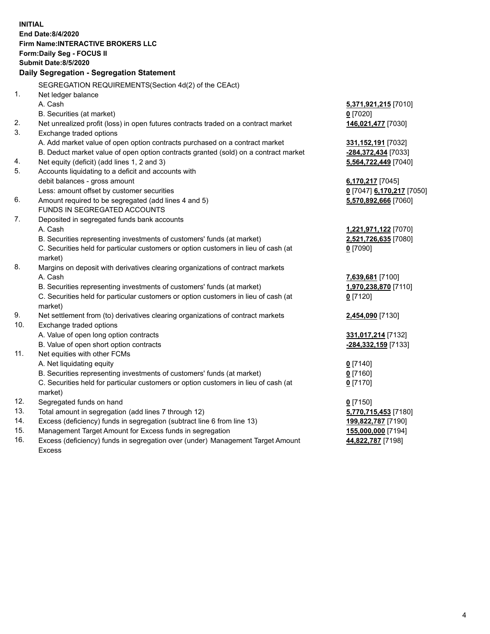|     | <b>INITIAL</b>                                                                                 |                           |
|-----|------------------------------------------------------------------------------------------------|---------------------------|
|     | End Date: 8/4/2020                                                                             |                           |
|     | <b>Firm Name:INTERACTIVE BROKERS LLC</b>                                                       |                           |
|     | Form: Daily Seg - FOCUS II                                                                     |                           |
|     | Submit Date: 8/5/2020                                                                          |                           |
|     | Daily Segregation - Segregation Statement                                                      |                           |
|     | SEGREGATION REQUIREMENTS(Section 4d(2) of the CEAct)                                           |                           |
| 1.  | Net ledger balance                                                                             |                           |
|     | A. Cash                                                                                        | 5,371,921,215 [7010]      |
|     | B. Securities (at market)                                                                      | $0$ [7020]                |
| 2.  | Net unrealized profit (loss) in open futures contracts traded on a contract market             | 146,021,477 [7030]        |
| 3.  | Exchange traded options                                                                        |                           |
|     | A. Add market value of open option contracts purchased on a contract market                    | 331,152,191 [7032]        |
|     | B. Deduct market value of open option contracts granted (sold) on a contract market            | -284,372,434 [7033]       |
| 4.  | Net equity (deficit) (add lines 1, 2 and 3)                                                    | 5,564,722,449 [7040]      |
| 5.  | Accounts liquidating to a deficit and accounts with                                            |                           |
|     | debit balances - gross amount                                                                  | 6,170,217 [7045]          |
|     | Less: amount offset by customer securities                                                     | 0 [7047] 6,170,217 [7050] |
| 6.  | Amount required to be segregated (add lines 4 and 5)                                           | 5,570,892,666 [7060]      |
|     | FUNDS IN SEGREGATED ACCOUNTS                                                                   |                           |
| 7.  | Deposited in segregated funds bank accounts                                                    |                           |
|     | A. Cash                                                                                        | 1,221,971,122 [7070]      |
|     | B. Securities representing investments of customers' funds (at market)                         | 2,521,726,635 [7080]      |
|     | C. Securities held for particular customers or option customers in lieu of cash (at<br>market) | $0$ [7090]                |
| 8.  | Margins on deposit with derivatives clearing organizations of contract markets                 |                           |
|     | A. Cash                                                                                        | 7,639,681 [7100]          |
|     | B. Securities representing investments of customers' funds (at market)                         | 1,970,238,870 [7110]      |
|     | C. Securities held for particular customers or option customers in lieu of cash (at            | $0$ [7120]                |
|     | market)                                                                                        |                           |
| 9.  | Net settlement from (to) derivatives clearing organizations of contract markets                | 2,454,090 [7130]          |
| 10. | Exchange traded options                                                                        |                           |
|     | A. Value of open long option contracts                                                         | 331,017,214 [7132]        |
|     | B. Value of open short option contracts                                                        | -284,332,159 [7133]       |
| 11. | Net equities with other FCMs                                                                   |                           |
|     | A. Net liquidating equity                                                                      | $0$ [7140]                |
|     | B. Securities representing investments of customers' funds (at market)                         | $0$ [7160]                |
|     | C. Securities held for particular customers or option customers in lieu of cash (at            | $0$ [7170]                |
|     | market)                                                                                        |                           |
| 12. | Segregated funds on hand                                                                       | $0$ [7150]                |
| 13. | Total amount in segregation (add lines 7 through 12)                                           | 5,770,715,453 [7180]      |
| 14. | Excess (deficiency) funds in segregation (subtract line 6 from line 13)                        | 199,822,787 [7190]        |
| 15. | Management Target Amount for Excess funds in segregation                                       | 155,000,000 [7194]        |

16. Excess (deficiency) funds in segregation over (under) Management Target Amount Excess

**44,822,787** [7198]